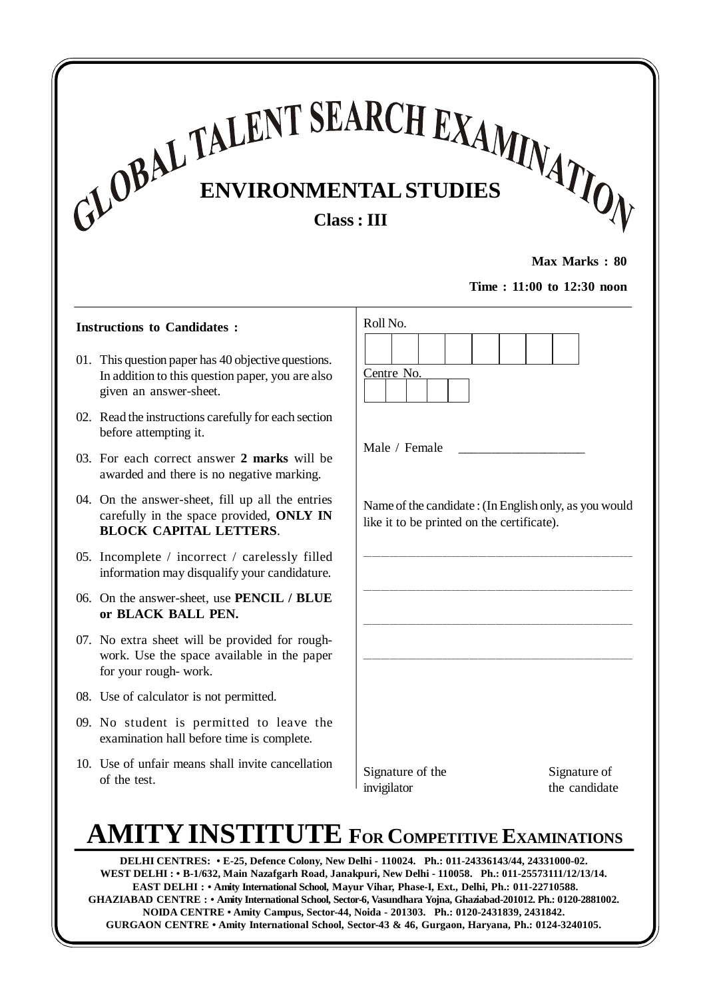# **ENVIRONMENTALSTUDIES Class: III**

**Max Marks : 80**

**Time : 11:00 to 12:30 noon**

#### **Instructions to Candidates :**

- 01. This question paper has 40 objective questions. In addition to this question paper, you are also given an answer-sheet.
- 02. Read the instructions carefully for each section before attempting it.
- 03. For each correct answer **2 marks** will be awarded and there is no negative marking.
- 04. On the answer-sheet, fill up all the entries carefully in the space provided, **ONLY IN BLOCK CAPITAL LETTERS**.
- 05. Incomplete / incorrect / carelessly filled information may disqualify your candidature.
- 06. On the answer-sheet, use **PENCIL / BLUE or BLACK BALL PEN.**
- 07. No extra sheet will be provided for roughwork. Use the space available in the paper for your rough- work.
- 08. Use of calculator is not permitted.
- 09. No student is permitted to leave the examination hall before time is complete.
- 10. Use of unfair means shall invite cancellation of the test.

| Roll No.                                   |                                                       |
|--------------------------------------------|-------------------------------------------------------|
|                                            |                                                       |
| Centre No.                                 |                                                       |
|                                            |                                                       |
|                                            |                                                       |
| Male / Female                              |                                                       |
|                                            |                                                       |
| like it to be printed on the certificate). | Name of the candidate: (In English only, as you would |
|                                            |                                                       |
|                                            |                                                       |
|                                            |                                                       |
|                                            |                                                       |
|                                            |                                                       |
|                                            |                                                       |
|                                            |                                                       |
|                                            |                                                       |
|                                            |                                                       |
| Signature of the                           | Signature of                                          |
| invigilator                                | the candidate                                         |

## **AMITYINSTITUTE FOR COMPETITIVE EXAMINATIONS**

GURGAON CENTRE • Amity International School, Sector-43 & 46, Gurgaon, Haryana, Ph.: 0124-3240105. **DELHI CENTRES: • E-25, Defence Colony, New Delhi - 110024. Ph.: 011-24336143/44, 24331000-02. WEST DELHI : • B-1/632, Main Nazafgarh Road, Janakpuri, New Delhi - 110058. Ph.: 011-25573111/12/13/14. EAST DELHI : • Amity International School, Mayur Vihar, Phase-I, Ext., Delhi, Ph.: 011-22710588. GHAZIABAD CENTRE : • Amity International School, Sector-6, Vasundhara Yojna, Ghaziabad-201012. Ph.: 0120-2881002. NOIDA CENTRE • Amity Campus, Sector-44, Noida - 201303. Ph.: 0120-2431839, 2431842.**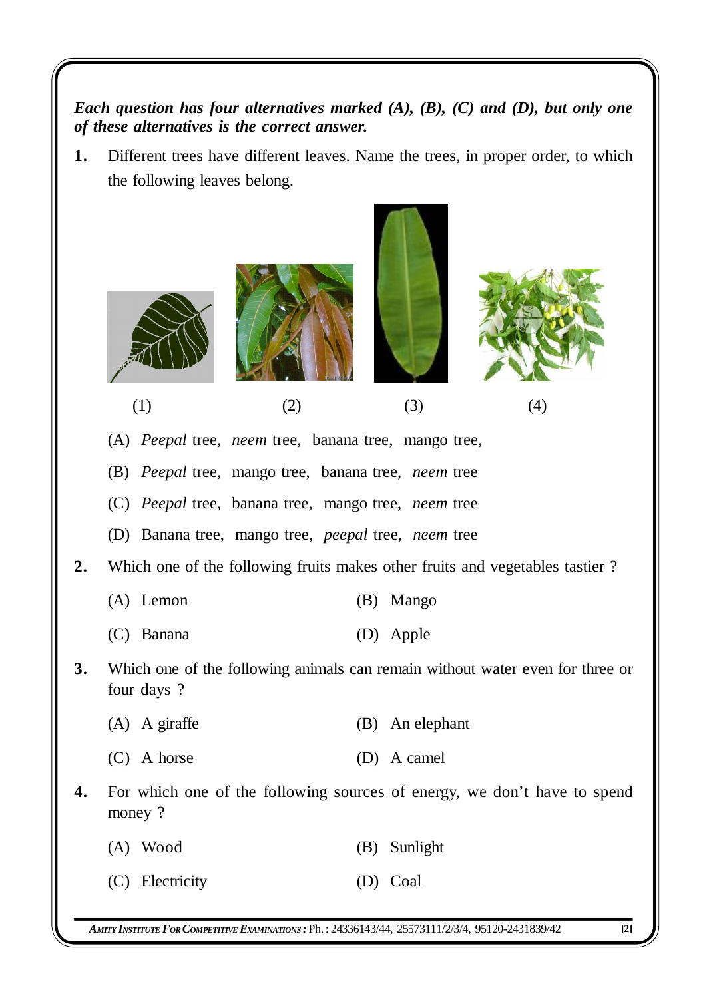*Each question has four alternatives marked (A), (B), (C) and (D), but only one of these alternatives is the correct answer.*

**1.** Different trees have different leaves. Name the trees, in proper order, to which the following leaves belong.



(1)  $(2)$   $(3)$   $(4)$ 

(A) *Peepal* tree, *neem* tree, banana tree, mango tree,

(B) *Peepal* tree, mango tree, banana tree, *neem* tree

(C) *Peepal* tree, banana tree, mango tree, *neem* tree

(D) Banana tree, mango tree, *peepal* tree, *neem* tree

**2.** Which one of the following fruits makes other fruits and vegetables tastier ?

| $(A)$ Lemon |  | (B) Mango |
|-------------|--|-----------|
|             |  |           |

- (C) Banana (D) Apple
- **3.** Which one of the following animals can remain without water even for three or four days ?
	- (A) A giraffe (B) An elephant
	- (C) A horse (D) A camel
- **4.** For which one of the following sources of energy, we don't have to spend money ?
	- (A) Wood (B) Sunlight
	- (C) Electricity (D) Coal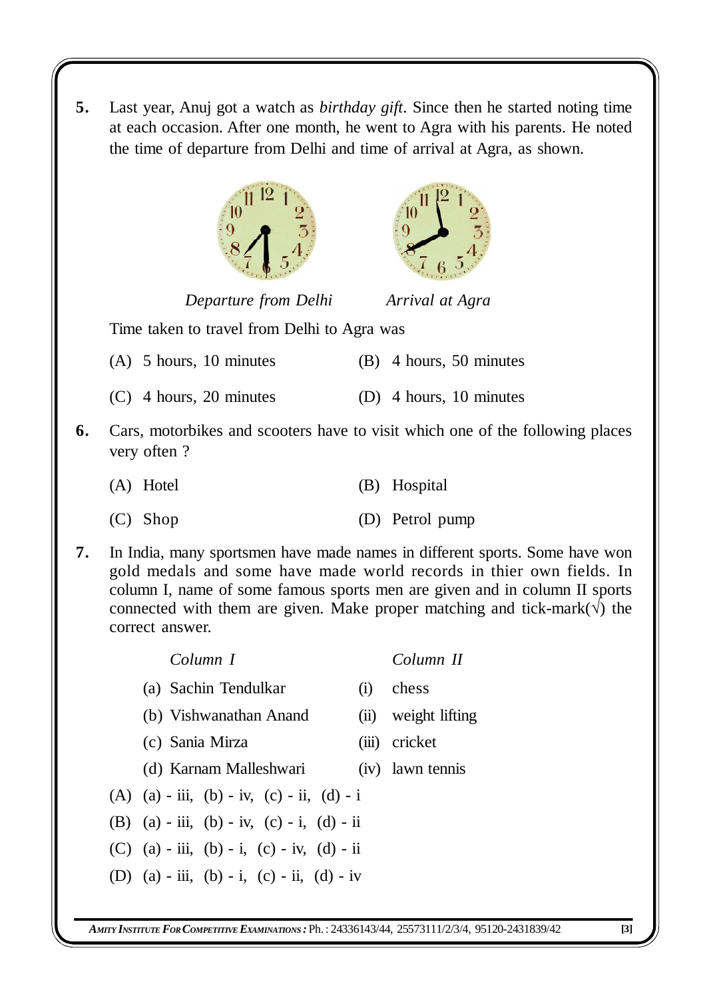**5.** Last year, Anuj got a watch as *birthday gift*. Since then he started noting time at each occasion. After one month, he went to Agra with his parents. He noted the time of departure from Delhi and time of arrival at Agra, as shown.





*Departure from Delhi Arrival at Agra*

Time taken to travel from Delhi to Agra was

- (A) 5 hours, 10 minutes (B) 4 hours, 50 minutes
- (C) 4 hours, 20 minutes (D) 4 hours, 10 minutes
- **6.** Cars, motorbikes and scooters have to visit which one of the following places very often ?
	- (A) Hotel (B) Hospital
	- (C) Shop (D) Petrol pump
- **7.** In India, many sportsmen have made names in different sports. Some have won gold medals and some have made world records in thier own fields. In column I, name of some famous sports men are given and in column II sports connected with them are given. Make proper matching and tick-mark( $\sqrt{}$ ) the correct answer.

| Column I                                   |     | Column II           |
|--------------------------------------------|-----|---------------------|
| (a) Sachin Tendulkar                       | (i) | chess               |
| (b) Vishwanathan Anand                     |     | (ii) weight lifting |
| (c) Sania Mirza                            |     | (iii) cricket       |
| (d) Karnam Malleshwari                     |     | (iv) lawn tennis    |
| (A) (a) - iii, (b) - iv, (c) - ii, (d) - i |     |                     |
| (B) (a) - iii, (b) - iv, (c) - i, (d) - ii |     |                     |
| (C) (a) - iii, (b) - i, (c) - iv, (d) - ii |     |                     |
| (D) (a) - iii, (b) - i, (c) - ii, (d) - iv |     |                     |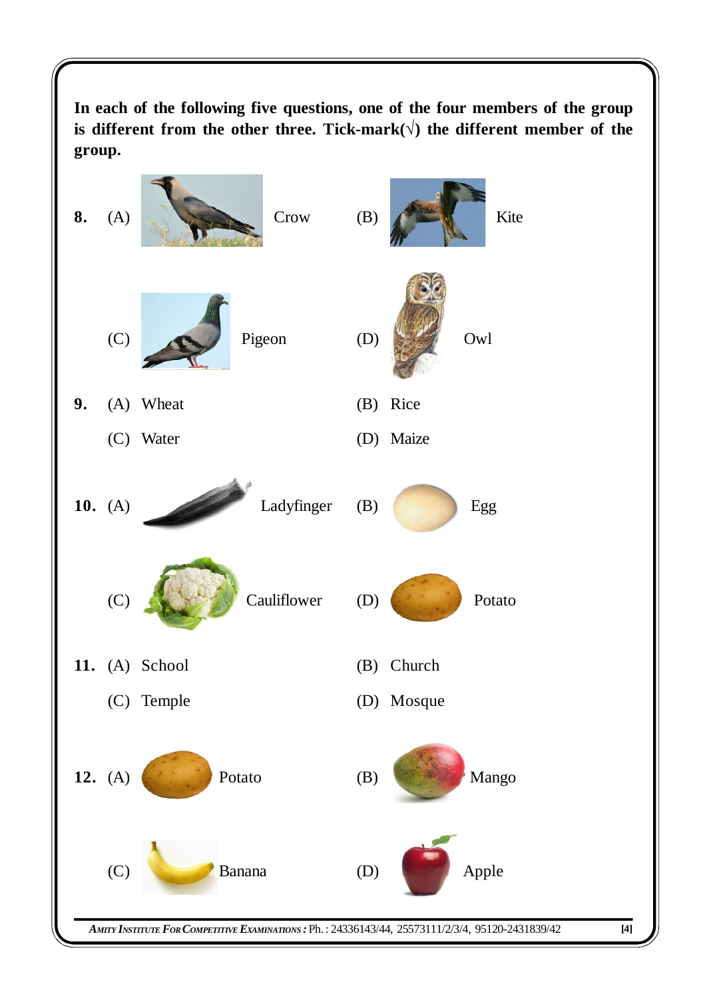**In each of the following five questions, one of the four members of the group is different from the other three. Tick-mark() the different member of the group.**

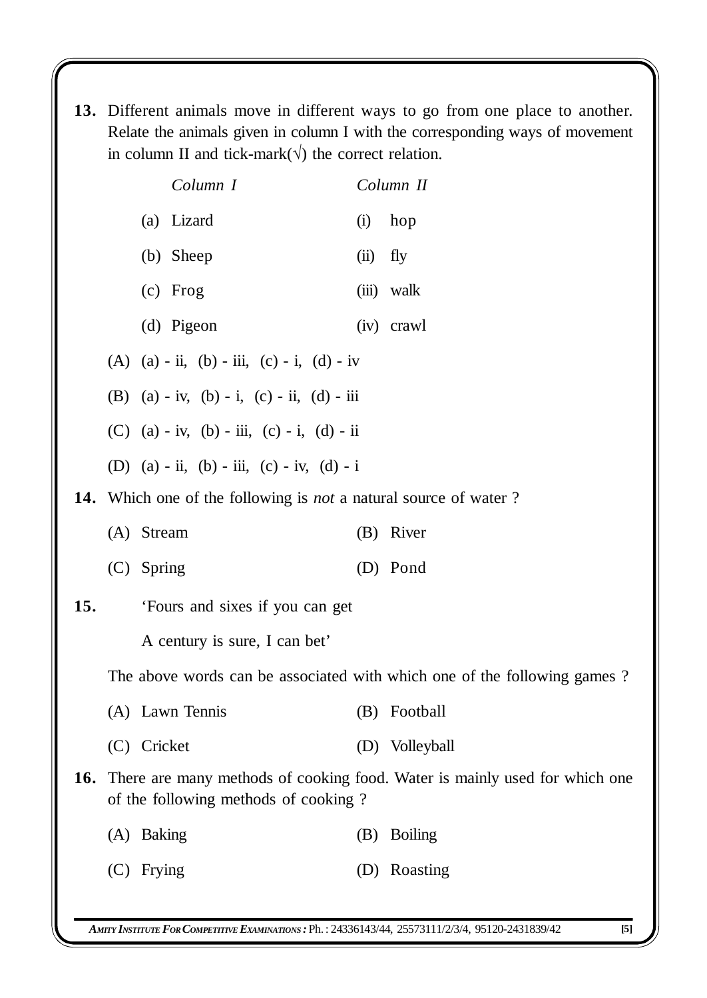**13.** Different animals move in different ways to go from one place to another. Relate the animals given in column I with the corresponding ways of movement in column II and tick-mark( $\sqrt{}$ ) the correct relation.

|     | Column I                                                                       |      | Column II                                                                             |
|-----|--------------------------------------------------------------------------------|------|---------------------------------------------------------------------------------------|
|     | (a) Lizard                                                                     | (i)  | hop                                                                                   |
|     | (b) Sheep                                                                      | (ii) | fly                                                                                   |
|     | $(c)$ Frog                                                                     |      | (iii) walk                                                                            |
|     | (d) Pigeon                                                                     |      | (iv) crawl                                                                            |
|     | (A) $(a) - ii$ , $(b) - iii$ , $(c) - i$ , $(d) - iv$                          |      |                                                                                       |
|     | (B) $(a) - iv$ , $(b) - i$ , $(c) - ii$ , $(d) - iii$                          |      |                                                                                       |
|     | (C) (a) - iv, (b) - iii, (c) - i, (d) - ii                                     |      |                                                                                       |
|     | (D) (a) - ii, (b) - iii, (c) - iv, (d) - i                                     |      |                                                                                       |
|     | <b>14.</b> Which one of the following is <i>not</i> a natural source of water? |      |                                                                                       |
|     | (A) Stream                                                                     |      | (B) River                                                                             |
|     | (C) Spring                                                                     |      | (D) Pond                                                                              |
| 15. | 'Fours and sixes if you can get                                                |      |                                                                                       |
|     | A century is sure, I can bet'                                                  |      |                                                                                       |
|     |                                                                                |      | The above words can be associated with which one of the following games?              |
|     | (A) Lawn Tennis                                                                |      | (B) Football                                                                          |
|     | (C) Cricket                                                                    |      | (D) Volleyball                                                                        |
|     | of the following methods of cooking?                                           |      | <b>16.</b> There are many methods of cooking food. Water is mainly used for which one |
|     | (A) Baking                                                                     | (B)  | <b>Boiling</b>                                                                        |
|     | $(C)$ Frying                                                                   |      | (D) Roasting                                                                          |
|     |                                                                                |      |                                                                                       |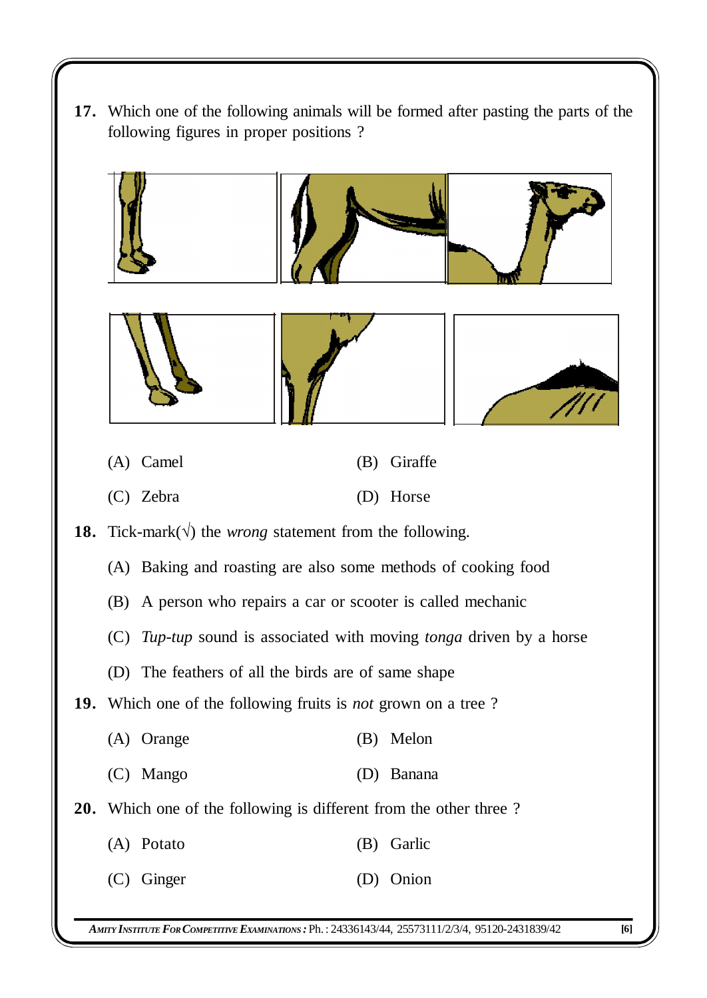**17.** Which one of the following animals will be formed after pasting the parts of the following figures in proper positions ?

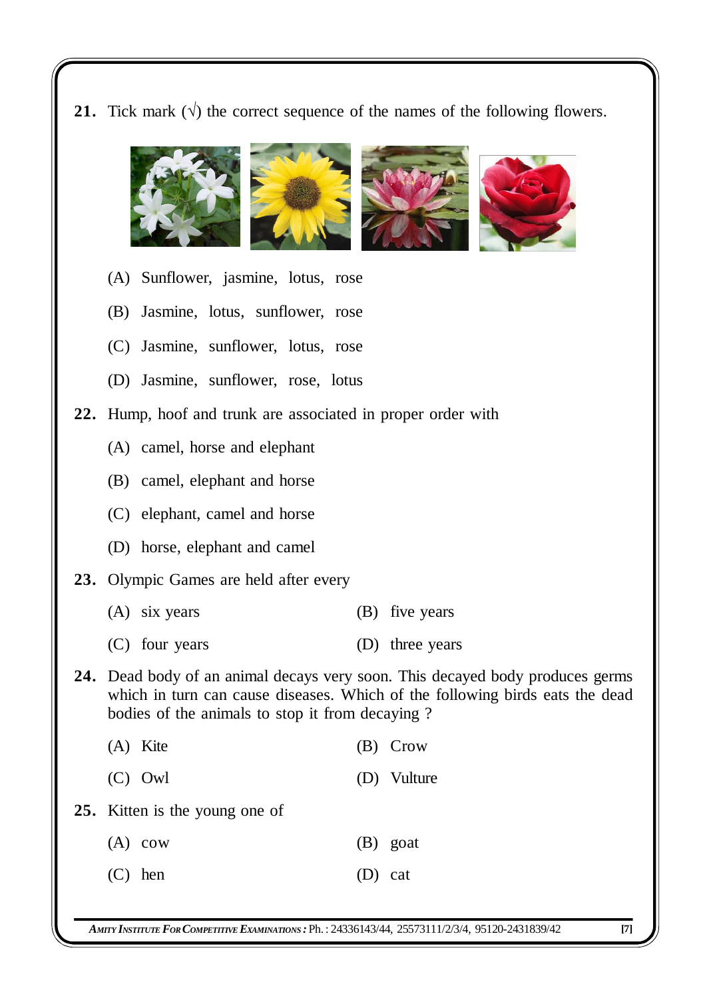**21.** Tick mark  $(\sqrt{})$  the correct sequence of the names of the following flowers.



- (A) Sunflower, jasmine, lotus, rose
- (B) Jasmine, lotus, sunflower, rose
- (C) Jasmine, sunflower, lotus, rose
- (D) Jasmine, sunflower, rose, lotus
- **22.** Hump, hoof and trunk are associated in proper order with
	- (A) camel, horse and elephant
	- (B) camel, elephant and horse
	- (C) elephant, camel and horse
	- (D) horse, elephant and camel
- **23.** Olympic Games are held after every
	- (A) six years (B) five years
	- (C) four years (D) three years
- **24.** Dead body of an animal decays very soon. This decayed body produces germs which in turn can cause diseases. Which of the following birds eats the dead bodies of the animals to stop it from decaying ?
	- (A) Kite (B) Crow
	- (C) Owl (D) Vulture
- **25.** Kitten is the young one of

|           | $(A)$ cow |           | (B) goat |
|-----------|-----------|-----------|----------|
| $(C)$ hen |           | $(D)$ cat |          |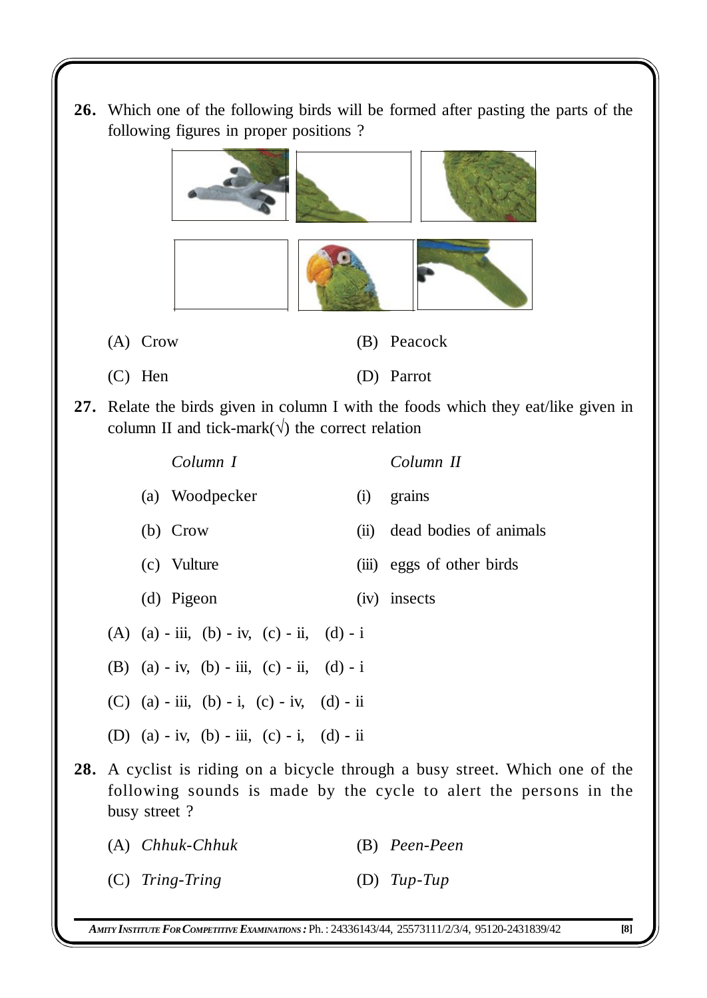**26.** Which one of the following birds will be formed after pasting the parts of the following figures in proper positions ?



- (C) Hen (D) Parrot
- **27.** Relate the birds given in column I with the foods which they eat/like given in column II and tick-mark( $\sqrt{ }$ ) the correct relation

| Column I                                   |                                                                                                                                                          | Column II                 |  |  |  |  |  |  |
|--------------------------------------------|----------------------------------------------------------------------------------------------------------------------------------------------------------|---------------------------|--|--|--|--|--|--|
| (a) Woodpecker                             | (i)                                                                                                                                                      | grains                    |  |  |  |  |  |  |
| $(b)$ Crow                                 | (ii)                                                                                                                                                     | dead bodies of animals    |  |  |  |  |  |  |
| (c) Vulture                                |                                                                                                                                                          | (iii) eggs of other birds |  |  |  |  |  |  |
| (d) Pigeon                                 |                                                                                                                                                          | (iv) insects              |  |  |  |  |  |  |
| (A) (a) - iii, (b) - iv, (c) - ii, (d) - i |                                                                                                                                                          |                           |  |  |  |  |  |  |
| (B) (a) - iv, (b) - iii, (c) - ii, (d) - i |                                                                                                                                                          |                           |  |  |  |  |  |  |
| (C) (a) - iii, (b) - i, (c) - iv, (d) - ii |                                                                                                                                                          |                           |  |  |  |  |  |  |
| (D) (a) - iv, (b) - iii, (c) - i, (d) - ii |                                                                                                                                                          |                           |  |  |  |  |  |  |
| busy street?                               | <b>28.</b> A cyclist is riding on a bicycle through a busy street. Which one of the<br>following sounds is made by the cycle to alert the persons in the |                           |  |  |  |  |  |  |
| (A) Chhuk-Chhuk                            |                                                                                                                                                          | (B) Peen-Peen             |  |  |  |  |  |  |

(C) *Tring*-*Tring* (D) *Tup*-*Tup*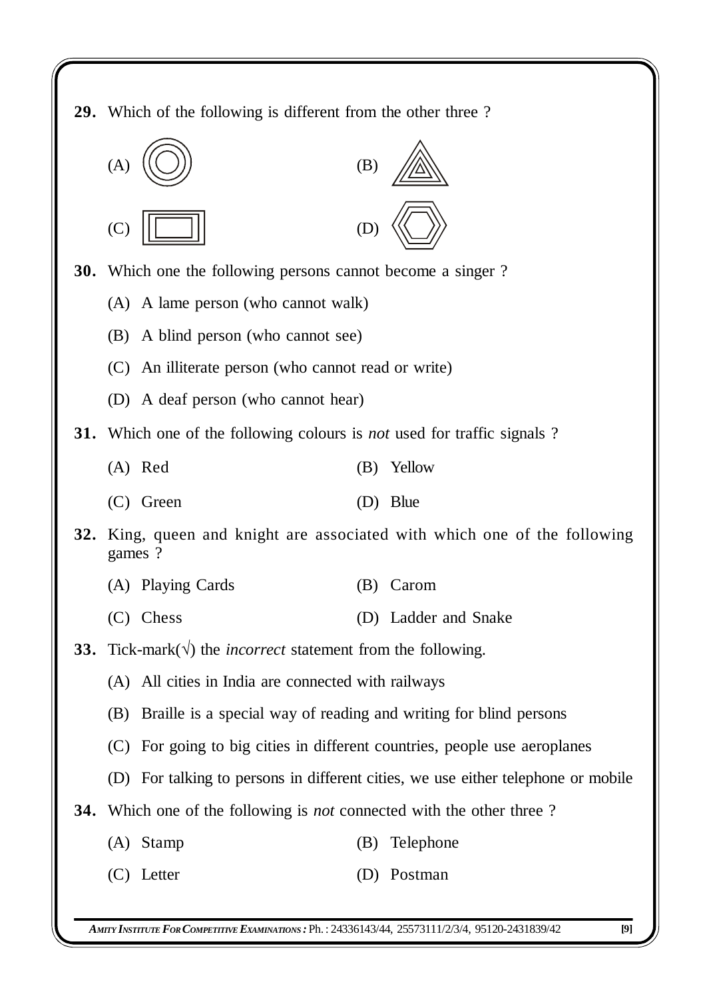**29.** Which of the following is different from the other three ?



**30.** Which one the following persons cannot become a singer ?

- (A) A lame person (who cannot walk)
- (B) A blind person (who cannot see)
- (C) An illiterate person (who cannot read or write)
- (D) A deaf person (who cannot hear)
- **31.** Which one of the following colours is *not* used for traffic signals ?
	- (A) Red (B) Yellow
	- (C) Green (D) Blue
- **32.** King, queen and knight are associated with which one of the following games ?
	- (A) Playing Cards (B) Carom
	- (C) Chess (D) Ladder and Snake
- **33.** Tick-mark( $\sqrt{}$ ) the *incorrect* statement from the following.
	- (A) All cities in India are connected with railways
	- (B) Braille is a special way of reading and writing for blind persons
	- (C) For going to big cities in different countries, people use aeroplanes
	- (D) For talking to persons in different cities, we use either telephone or mobile
- **34.** Which one of the following is *not* connected with the other three ?
	- (A) Stamp (B) Telephone
	- (C) Letter (D) Postman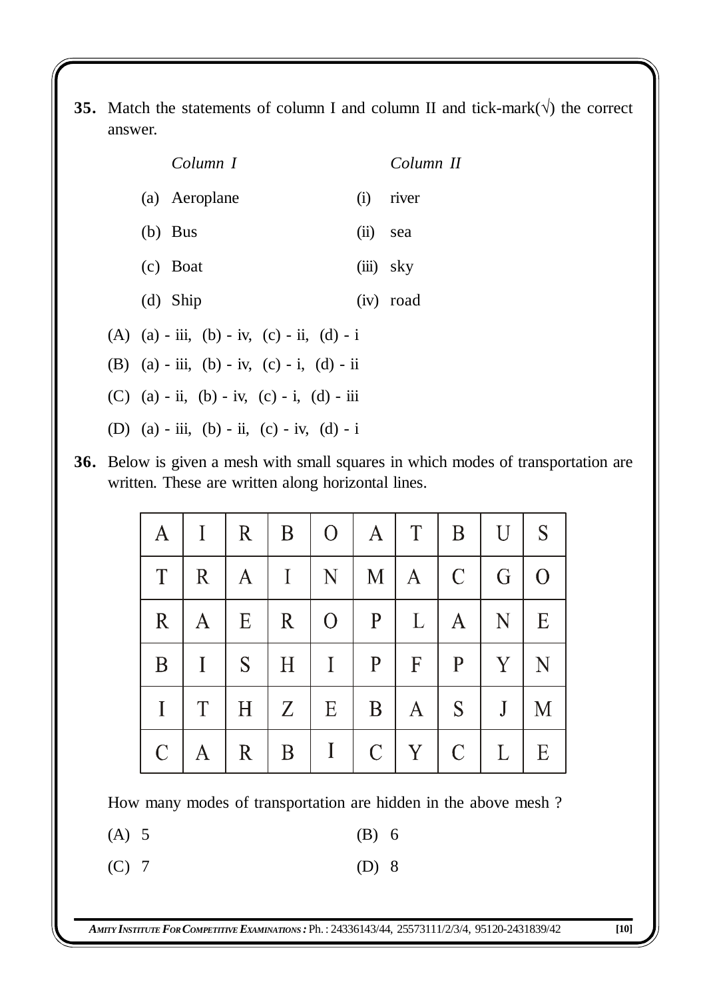**35.** Match the statements of column I and column II and tick-mark( $\sqrt{}$ ) the correct answer.

| Column I                                   |          | Column II   |
|--------------------------------------------|----------|-------------|
| (a) Aeroplane                              |          | $(i)$ river |
| $(b)$ Bus                                  | (ii) sea |             |
| (c) Boat                                   |          | (iii) sky   |
| $(d)$ Ship                                 |          | (iv) road   |
| (A) (a) - iii, (b) - iv, (c) - ii, (d) - i |          |             |
| (B) (a) - iii, (b) - iv, (c) - i, (d) - ii |          |             |
| (C) (a) - ii, (b) - iv, (c) - i, (d) - iii |          |             |
| (D) (a) - iii, (b) - ii, (c) - iv, (d) - i |          |             |

**36.** Below is given a mesh with small squares in which modes of transportation are written. These are written along horizontal lines.

| A            | $\mathbf{I}$ | $\mathbf R$  | B<br>$\mathbf{L}$ | 0 <sup>1</sup> | $\mathbf{A}$  | $\mathbf T$  | $\mathbf{B}$  | $\mathbf{U}$ | S        |
|--------------|--------------|--------------|-------------------|----------------|---------------|--------------|---------------|--------------|----------|
| T            | $\mathbf R$  | $\mathbf{A}$ | $\vert$           | N              | M             | $\mathbf{A}$ | $\mathcal{C}$ | G            | $\Omega$ |
| $\mathbf{R}$ | $\mathbf{A}$ | E            | $\mathbf{R}$      | $\overline{O}$ | $\mathbf{P}$  | L            | $\mathbf{A}$  | N            | E        |
| $\mathbf{B}$ | $\mathbf I$  | S            | H                 | $\mathbf{I}$   | P             | $\mathbf{F}$ | $\mathbf{P}$  | Y            | N        |
| $\mathbf I$  | T            | H            | $Z_{\parallel}$   | E              | $\mathbf{B}$  | $\mathbf{A}$ | S             | J            | M        |
| $\mathsf{C}$ |              | $\mathbf R$  | $\mathbf{B}$      | $\mathbf{I}$   | $\mathcal{C}$ | Y            | $\mathcal{C}$ | $\mathbf{L}$ | E        |

How many modes of transportation are hidden in the above mesh ?

(A) 5 (B) 6

(C) 7 (D) 8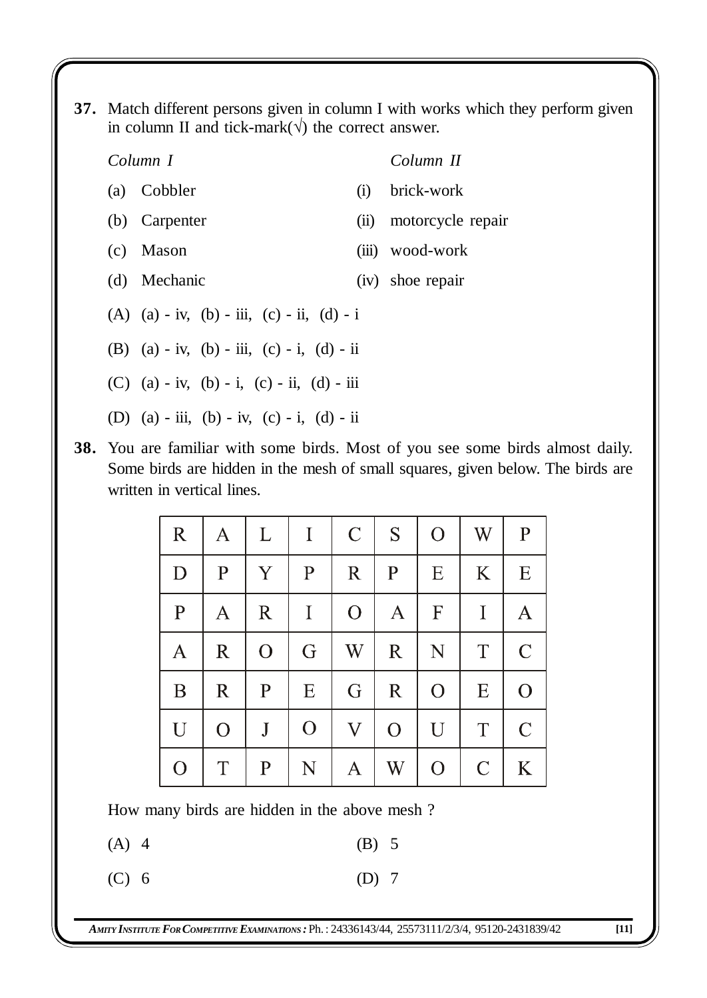**37.** Match different persons given in column I with works which they perform given in column II and tick-mark( $\sqrt{}$ ) the correct answer.

### *Column I Column II*

- (a) Cobbler (i) brick-work
- (b) Carpenter (ii) motorcycle repair
- (c) Mason (iii) wood-work
- (d) Mechanic (iv) shoe repair
- (A) (a) iv, (b) iii, (c) ii, (d) i
- (B) (a) iv, (b) iii, (c) i, (d) ii
- (C) (a) iv, (b) i, (c) ii, (d) iii
- (D) (a) iii, (b) iv, (c) i, (d) ii
- **38.** You are familiar with some birds. Most of you see some birds almost daily. Some birds are hidden in the mesh of small squares, given below. The birds are written in vertical lines.

| $\mathbf R$    | $\mathbf{A}$   | L              | $\bf{I}$     | $\mathcal{C}$      | S            | $\mathbf{O}$     | W             | $\mathbf{P}$   |
|----------------|----------------|----------------|--------------|--------------------|--------------|------------------|---------------|----------------|
| D              | $\mathbf{P}$   | Y              | $\mathbf{P}$ | $\mathbf R$        | $\mathbf{P}$ | E                | K             | E              |
| $\mathbf P$    | Α              | $\mathbf R$    | $\bf{I}$     | $\mathbf{O}$       | $\mathbf A$  | $\boldsymbol{F}$ | $\mathbf I$   | A              |
| A              | $\mathbb{R}$   | $\overline{O}$ | G            | $\operatorname{W}$ | $\mathbf R$  | N                | T             | $\mathcal{C}$  |
| B              | $\mathbf R$    | $\mathbf{P}$   | E            | G                  | $\mathbf R$  | $\overline{O}$   | E             | $\overline{O}$ |
| U              | $\overline{O}$ | $\mathbf{J}$   | $\mathbf{O}$ | $\mathbf{V}$       | $\mathbf{O}$ | U                | T             | $\mathcal{C}$  |
| $\overline{O}$ | T              | $\mathbf{P}$   | N            | A                  | W            | $\overline{O}$   | $\mathcal{C}$ | K              |

How many birds are hidden in the above mesh ?

 $(A)$  4 (B) 5

- (C) 6 (D) 7
-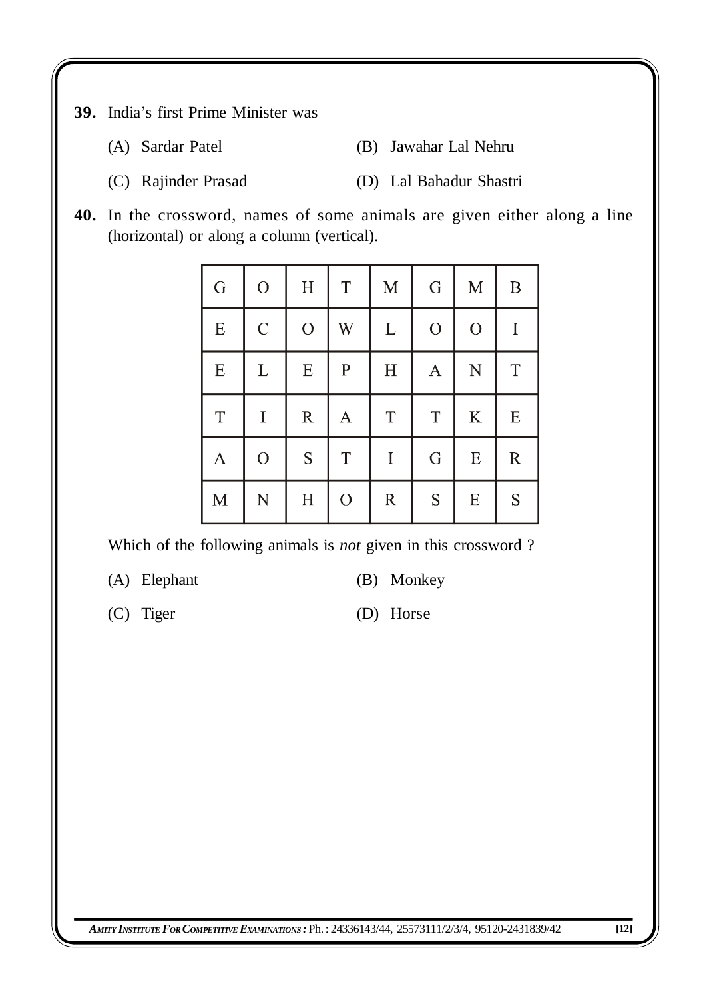- **39.** India's first Prime Minister was
	- (A) Sardar Patel (B) Jawahar Lal Nehru
	- (C) Rajinder Prasad (D) Lal Bahadur Shastri
- **40.** In the crossword, names of some animals are given either along a line (horizontal) or along a column (vertical).

| G            | $\overline{O}$ | H              | $\mathbf T$    | $\mathbf M$ | G              | $\mathbf M$ | B             |
|--------------|----------------|----------------|----------------|-------------|----------------|-------------|---------------|
| E            | $\mathcal{C}$  | $\overline{O}$ | W              | L           | $\overline{O}$ | $\mathbf O$ | $\mathbf I$   |
| ${\bf E}$    | $\Gamma$       | E              | $\mathbf P$    | $\mathbf H$ | $\mathbf{A}$   | ${\bf N}$   | $\mathbf T$   |
| T            | $\mathbf I$    | $\mathbb{R}$   | A              | $\mathbf T$ | T              | $\rm K$     | E             |
| $\mathbf{A}$ | $\overline{O}$ | ${\mathbf S}$  | $\mathbf T$    | $\bf I$     | G              | ${\bf E}$   | $\mathbb{R}$  |
| $\mathbf M$  | ${\bf N}$      | H              | $\overline{O}$ | ${\bf R}$   | ${\mathbf S}$  | E           | ${\mathbf S}$ |

Which of the following animals is *not* given in this crossword ?

- (A) Elephant (B) Monkey
	-
- (C) Tiger (D) Horse

*AMITY INSTITUTE FORCOMPETITIVE EXAMINATIONS :* Ph.: 24336143/44, 25573111/2/3/4, 95120-2431839/42 **[12]**